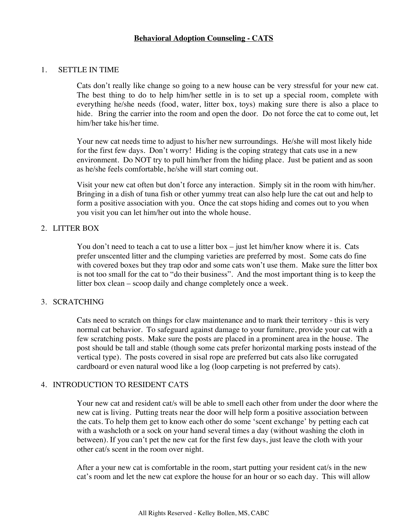#### 1. SETTLE IN TIME

Cats don't really like change so going to a new house can be very stressful for your new cat. The best thing to do to help him/her settle in is to set up a special room, complete with everything he/she needs (food, water, litter box, toys) making sure there is also a place to hide. Bring the carrier into the room and open the door. Do not force the cat to come out, let him/her take his/her time.

Your new cat needs time to adjust to his/her new surroundings. He/she will most likely hide for the first few days. Don't worry! Hiding is the coping strategy that cats use in a new environment. Do NOT try to pull him/her from the hiding place. Just be patient and as soon as he/she feels comfortable, he/she will start coming out.

Visit your new cat often but don't force any interaction. Simply sit in the room with him/her. Bringing in a dish of tuna fish or other yummy treat can also help lure the cat out and help to form a positive association with you. Once the cat stops hiding and comes out to you when you visit you can let him/her out into the whole house.

# 2. LITTER BOX

You don't need to teach a cat to use a litter box – just let him/her know where it is. Cats prefer unscented litter and the clumping varieties are preferred by most. Some cats do fine with covered boxes but they trap odor and some cats won't use them. Make sure the litter box is not too small for the cat to "do their business". And the most important thing is to keep the litter box clean – scoop daily and change completely once a week.

# 3. SCRATCHING

Cats need to scratch on things for claw maintenance and to mark their territory - this is very normal cat behavior. To safeguard against damage to your furniture, provide your cat with a few scratching posts. Make sure the posts are placed in a prominent area in the house. The post should be tall and stable (though some cats prefer horizontal marking posts instead of the vertical type). The posts covered in sisal rope are preferred but cats also like corrugated cardboard or even natural wood like a log (loop carpeting is not preferred by cats).

# 4. INTRODUCTION TO RESIDENT CATS

Your new cat and resident cat/s will be able to smell each other from under the door where the new cat is living. Putting treats near the door will help form a positive association between the cats. To help them get to know each other do some 'scent exchange' by petting each cat with a washcloth or a sock on your hand several times a day (without washing the cloth in between). If you can't pet the new cat for the first few days, just leave the cloth with your other cat/s scent in the room over night.

After a your new cat is comfortable in the room, start putting your resident cat/s in the new cat's room and let the new cat explore the house for an hour or so each day. This will allow